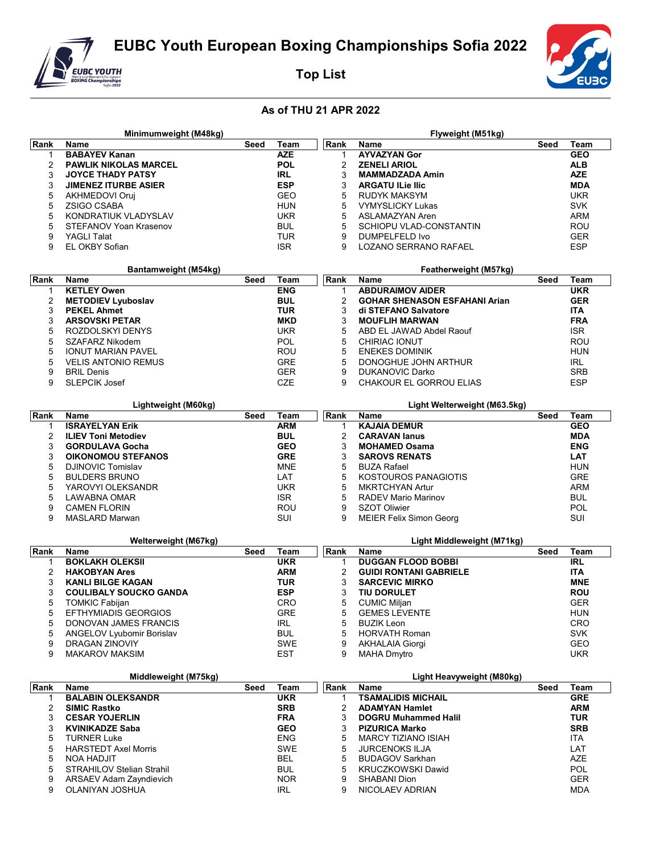

Minimumweight (M48kg)

**Top List** 



Flyweight (M51kg)

## As of THU 21 APR 2022

 $\overline{a}$ 

| ∣Rank | <b>Name</b>                      | Seed | Team       | Rank           | Name                                 | Seed | Team           |
|-------|----------------------------------|------|------------|----------------|--------------------------------------|------|----------------|
| 1     | <b>BABAYEV Kanan</b>             |      | <b>AZE</b> | -1             | <b>AYVAZYAN Gor</b>                  |      | <b>GEO</b>     |
| 2     | <b>PAWLIK NIKOLAS MARCEL</b>     |      | <b>POL</b> | 2              | <b>ZENELI ARIOL</b>                  |      | <b>ALB</b>     |
| 3     | <b>JOYCE THADY PATSY</b>         |      | <b>IRL</b> | 3              | <b>MAMMADZADA Amin</b>               |      | <b>AZE</b>     |
|       |                                  |      |            |                |                                      |      |                |
| 3     | <b>JIMENEZ ITURBE ASIER</b>      |      | <b>ESP</b> | 3              | <b>ARGATU ILie Ilic</b>              |      | <b>MDA</b>     |
| 5     | AKHMEDOVI Oruj                   |      | GEO        | 5              | <b>RUDYK MAKSYM</b>                  |      | <b>UKR</b>     |
| 5     | <b>ZSIGO CSABA</b>               |      | HUN        | 5              | <b>VYMYSLICKY Lukas</b>              |      | <b>SVK</b>     |
| 5     | KONDRATIUK VLADYSLAV             |      | <b>UKR</b> | 5              | ASLAMAZYAN Aren                      |      | <b>ARM</b>     |
| 5     | STEFANOV Yoan Krasenov           |      | <b>BUL</b> | 5              | SCHIOPU VLAD-CONSTANTIN              |      | ROU            |
| 9     | <b>YAGLI Talat</b>               |      | <b>TUR</b> | 9              |                                      |      |                |
|       |                                  |      |            |                | DUMPELFELD Ivo                       |      | <b>GER</b>     |
| 9     | EL OKBY Sofian                   |      | <b>ISR</b> | 9              | LOZANO SERRANO RAFAEL                |      | ESP            |
|       |                                  |      |            |                |                                      |      |                |
|       | Bantamweight (M54kg)             |      |            |                | Featherweight (M57kg)                |      |                |
|       |                                  |      |            |                |                                      |      |                |
| Rank  | <b>Name</b>                      | Seed | Team       | Rank           | Name                                 | Seed | <b>Team</b>    |
| 1     | <b>KETLEY Owen</b>               |      | <b>ENG</b> | $\mathbf 1$    | <b>ABDURAIMOV AIDER</b>              |      | <b>UKR</b>     |
| 2     | <b>METODIEV Lyuboslav</b>        |      | <b>BUL</b> | $\overline{2}$ | <b>GOHAR SHENASON ESFAHANI Arian</b> |      | <b>GER</b>     |
| 3     | <b>PEKEL Ahmet</b>               |      | <b>TUR</b> | 3              | di STEFANO Salvatore                 |      | ITA            |
| 3     | <b>ARSOVSKI PETAR</b>            |      | MKD        | 3              | <b>MOUFLIH MARWAN</b>                |      | <b>FRA</b>     |
| 5     | ROZDOLSKYI DENYS                 |      | <b>UKR</b> | 5              |                                      |      | ISR.           |
|       |                                  |      |            |                | ABD EL JAWAD Abdel Raouf             |      |                |
| 5     | SZAFARZ Nikodem                  |      | POL        | 5              | CHIRIAC IONUT                        |      | ROU            |
| 5     | <b>IONUT MARIAN PAVEL</b>        |      | ROU        | 5              | <b>ENEKES DOMINIK</b>                |      | <b>HUN</b>     |
| 5     | <b>VELIS ANTONIO REMUS</b>       |      | <b>GRE</b> | 5              | DONOGHUE JOHN ARTHUR                 |      | IRL            |
| 9     | <b>BRIL Denis</b>                |      | <b>GER</b> | 9              | <b>DUKANOVIC Darko</b>               |      | <b>SRB</b>     |
| 9     | <b>SLEPCIK Josef</b>             |      | CZE        | 9              | CHAKOUR EL GORROU ELIAS              |      | <b>ESP</b>     |
|       |                                  |      |            |                |                                      |      |                |
|       |                                  |      |            |                |                                      |      |                |
|       | Lightweight (M60kg)              |      |            |                | Light Welterweight (M63.5kg)         |      |                |
| Rank  | <b>Name</b>                      | Seed | Team       | Rank           | Name                                 | Seed | <b>Team</b>    |
| 1     | <b>ISRAYELYAN Erik</b>           |      | <b>ARM</b> | 1              | <b>KAJAIA DEMUR</b>                  |      | <b>GEO</b>     |
| 2     | <b>ILIEV Toni Metodiev</b>       |      | <b>BUL</b> | 2              | <b>CARAVAN lanus</b>                 |      | <b>MDA</b>     |
|       |                                  |      |            |                |                                      |      |                |
| 3     | <b>GORDULAVA Gocha</b>           |      | <b>GEO</b> | 3              | <b>MOHAMED Osama</b>                 |      | <b>ENG</b>     |
| 3     | <b>OIKONOMOU STEFANOS</b>        |      | <b>GRE</b> | 3              | <b>SAROVS RENATS</b>                 |      | LAT            |
| 5     | DJINOVIC Tomislav                |      | <b>MNE</b> | 5              | <b>BUZA Rafael</b>                   |      | <b>HUN</b>     |
| 5     | <b>BULDERS BRUNO</b>             |      | LAT        | 5              | KOSTOUROS PANAGIOTIS                 |      | <b>GRE</b>     |
| 5     | YAROVYI OLEKSANDR                |      | <b>UKR</b> | 5              | <b>MKRTCHYAN Artur</b>               |      | <b>ARM</b>     |
|       |                                  |      | <b>ISR</b> | 5              |                                      |      |                |
| 5     | <b>LAWABNA OMAR</b>              |      |            |                | <b>RADEV Mario Marinov</b>           |      | <b>BUL</b>     |
| 9     | <b>CAMEN FLORIN</b>              |      | ROU        | 9              | <b>SZOT Oliwier</b>                  |      | POL            |
| 9     | <b>MASLARD Marwan</b>            |      | SUI        | 9              | <b>MEIER Felix Simon Georg</b>       |      | SUI            |
|       |                                  |      |            |                |                                      |      |                |
|       | Welterweight (M67kg)             |      |            |                | Light Middleweight (M71kg)           |      |                |
|       |                                  |      |            |                |                                      | Seed |                |
| Rank  | <b>Name</b>                      | Seed | Team       | Rank           | Name                                 |      | Team           |
| 1     | <b>BOKLAKH OLEKSII</b>           |      | <b>UKR</b> | $\mathbf 1$    | <b>DUGGAN FLOOD BOBBI</b>            |      | R <sub>L</sub> |
| 2     | <b>HAKOBYAN Ares</b>             |      | ARM        | $\overline{2}$ | <b>GUIDI RONTANI GABRIELE</b>        |      | <b>ITA</b>     |
| 3     | <b>KANLI BILGE KAGAN</b>         |      | TUR        | 3              | <b>SARCEVIC MIRKO</b>                |      | <b>MNE</b>     |
| 3     | <b>COULIBALY SOUCKO GANDA</b>    |      | <b>ESP</b> |                |                                      |      |                |
| 5     |                                  |      |            |                |                                      |      |                |
|       |                                  |      |            | 3              | TIU DORULET                          |      | ROU            |
| 5     | <b>TOMKIC Fabijan</b>            |      | CRO        | 5              | <b>CUMIC Miljan</b>                  |      | GER            |
|       | <b>EFTHYMIADIS GEORGIOS</b>      |      | <b>GRE</b> | 5              | <b>GEMES LEVENTE</b>                 |      | HUN            |
| 5     | DONOVAN JAMES FRANCIS            |      | <b>IRL</b> | 5              | <b>BUZIK Leon</b>                    |      | <b>CRO</b>     |
| 5     | ANGELOV Lyubomir Borislav        |      | <b>BUL</b> | 5              | <b>HORVATH Roman</b>                 |      | <b>SVK</b>     |
|       |                                  |      |            |                |                                      |      |                |
| 9     | <b>DRAGAN ZINOVIY</b>            |      | <b>SWE</b> | 9              | <b>AKHALAIA Giorgi</b>               |      | GEO            |
| 9     | <b>MAKAROV MAKSIM</b>            |      | EST        | 9              | <b>MAHA Dmytro</b>                   |      | UKR.           |
|       |                                  |      |            |                |                                      |      |                |
|       | Middleweight (M75kg)             |      |            |                | Light Heavyweight (M80kg)            |      |                |
| Rank  | <b>Name</b>                      | Seed | Team       |                | Name                                 | Seed | Team           |
| 1     |                                  |      |            | Rank<br>1      |                                      |      |                |
|       | <b>BALABIN OLEKSANDR</b>         |      | <b>UKR</b> |                | <b>TSAMALIDIS MICHAIL</b>            |      | <b>GRE</b>     |
| 2     | <b>SIMIC Rastko</b>              |      | <b>SRB</b> | 2              | <b>ADAMYAN Hamlet</b>                |      | ARM            |
| 3     | <b>CESAR YOJERLIN</b>            |      | <b>FRA</b> | 3              | <b>DOGRU Muhammed Halil</b>          |      | <b>TUR</b>     |
| 3     | <b>KVINIKADZE Saba</b>           |      | GEO        | 3              | <b>PIZURICA Marko</b>                |      | SRB            |
| 5     | <b>TURNER Luke</b>               |      | <b>ENG</b> | 5              | <b>MARCY TIZIANO ISIAH</b>           |      | ITA            |
|       |                                  |      |            |                |                                      |      |                |
| 5     | <b>HARSTEDT Axel Morris</b>      |      | SWE        | 5              | <b>JURCENOKS ILJA</b>                |      | LAT            |
| 5     | <b>NOA HADJIT</b>                |      | BEL        | 5              | <b>BUDAGOV Sarkhan</b>               |      | AZE            |
| 5     | <b>STRAHILOV Stelian Strahil</b> |      | <b>BUL</b> | 5              | KRUCZKOWSKI Dawid                    |      | <b>POL</b>     |
| 9     | ARSAEV Adam Zayndievich          |      | <b>NOR</b> | 9              | SHABANI Dion                         |      | <b>GER</b>     |
| 9     | OLANIYAN JOSHUA                  |      | IRL        | 9              | NICOLAEV ADRIAN                      |      | MDA            |
|       |                                  |      |            |                |                                      |      |                |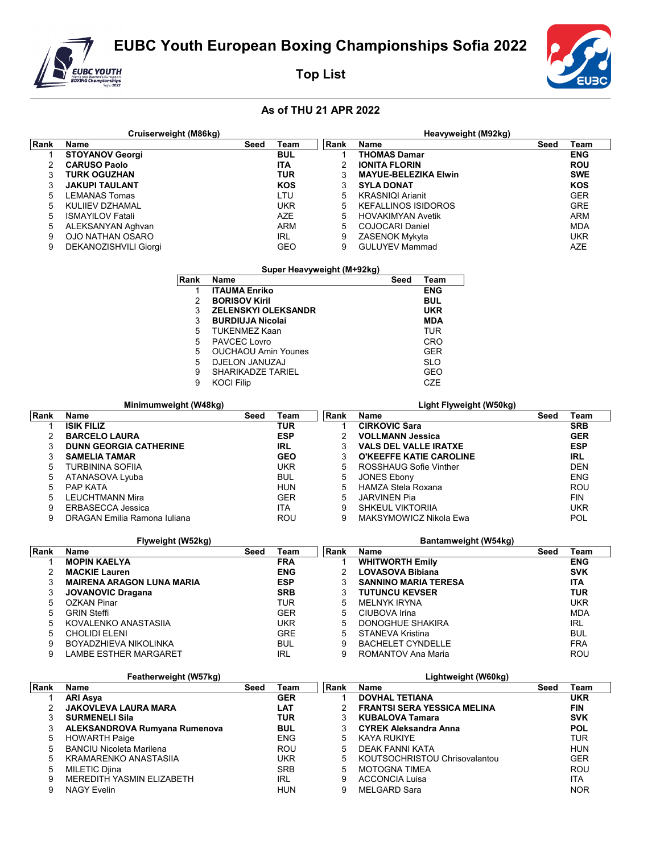EUBC Youth European Boxing Championships Sofia 2022



Cruiserweight (M86kg)

**Top List** 



Heavyweight (M92kg)

## As of THU 21 APR 2022

| Rank           | Name                                          | Seed                       | <b>Team</b>                | Rank           | Name                               | Seed | <b>Team</b> |
|----------------|-----------------------------------------------|----------------------------|----------------------------|----------------|------------------------------------|------|-------------|
| 1              | <b>STOYANOV Georgi</b>                        |                            | <b>BUL</b>                 | 1              | <b>THOMAS Damar</b>                |      | <b>ENG</b>  |
| $\overline{2}$ | <b>CARUSO Paolo</b>                           |                            | <b>ITA</b>                 | $\overline{2}$ | <b>IONITA FLORIN</b>               |      | <b>ROU</b>  |
| 3              | <b>TURK OGUZHAN</b>                           |                            | <b>TUR</b>                 | 3              | <b>MAYUE-BELEZIKA Elwin</b>        |      | <b>SWE</b>  |
| 3              | <b>JAKUPI TAULANT</b>                         |                            | <b>KOS</b>                 | 3              | <b>SYLA DONAT</b>                  |      | KOS         |
| 5              | <b>LEMANAS Tomas</b>                          |                            | LTU                        | 5              | <b>KRASNIQI Arianit</b>            |      | <b>GER</b>  |
| 5              | KULIIEV DZHAMAL                               |                            | <b>UKR</b>                 | 5              | <b>KEFALLINOS ISIDOROS</b>         |      | <b>GRE</b>  |
| 5              | <b>ISMAYILOV Fatali</b>                       |                            | <b>AZE</b>                 | 5              | <b>HOVAKIMYAN Avetik</b>           |      | <b>ARM</b>  |
| 5              | ALEKSANYAN Aghvan                             |                            | <b>ARM</b>                 | 5              | COJOCARI Daniel                    |      | <b>MDA</b>  |
| 9              | <b>OJO NATHAN OSARO</b>                       |                            | <b>IRL</b>                 | 9              | ZASENOK Mykyta                     |      | <b>UKR</b>  |
| 9              | DEKANOZISHVILI Giorgi                         |                            | <b>GEO</b>                 | 9              | <b>GULUYEV Mammad</b>              |      | AZE         |
|                |                                               |                            | Super Heavyweight (M+92kg) |                |                                    |      |             |
|                | Rank                                          | <b>Name</b>                |                            |                | Seed<br>Team                       |      |             |
|                | 1                                             | <b>ITAUMA Enriko</b>       |                            |                | <b>ENG</b>                         |      |             |
|                | 2                                             | <b>BORISOV Kiril</b>       |                            |                | <b>BUL</b>                         |      |             |
|                | 3                                             | <b>ZELENSKYI OLEKSANDR</b> |                            |                | <b>UKR</b>                         |      |             |
|                | 3                                             | <b>BURDIUJA Nicolai</b>    |                            |                | <b>MDA</b>                         |      |             |
|                | 5                                             | <b>TUKENMEZ Kaan</b>       |                            |                | TUR                                |      |             |
|                | 5                                             | PAVCEC Lovro               |                            |                | CRO                                |      |             |
|                | 5                                             | <b>OUCHAOU Amin Younes</b> |                            |                | <b>GER</b>                         |      |             |
|                | 5                                             | DJELON JANUZAJ             |                            |                | SLO                                |      |             |
|                | 9                                             | <b>SHARIKADZE TARIEL</b>   |                            |                | <b>GEO</b>                         |      |             |
|                | 9                                             | <b>KOCI Filip</b>          |                            |                | CZE                                |      |             |
|                |                                               |                            |                            |                |                                    |      |             |
| Rank           | Minimumweight (W48kg)<br><b>Name</b>          | Seed                       | <b>Team</b>                | Rank           | Light Flyweight (W50kg)<br>Name    | Seed | <b>Team</b> |
| 1              | <b>ISIK FILIZ</b>                             |                            | <b>TUR</b>                 | $\mathbf{1}$   | <b>CIRKOVIC Sara</b>               |      | <b>SRB</b>  |
| 2              | <b>BARCELO LAURA</b>                          |                            | <b>ESP</b>                 | $\overline{2}$ | <b>VOLLMANN Jessica</b>            |      | <b>GER</b>  |
| 3              | <b>DUNN GEORGIA CATHERINE</b>                 |                            | <b>IRL</b>                 | 3              | <b>VALS DEL VALLE IRATXE</b>       |      | <b>ESP</b>  |
| 3              | <b>SAMELIA TAMAR</b>                          |                            | <b>GEO</b>                 | 3              | <b>O'KEEFFE KATIE CAROLINE</b>     |      | <b>IRL</b>  |
| 5              | <b>TURBININA SOFIIA</b>                       |                            | <b>UKR</b>                 | 5              | ROSSHAUG Sofie Vinther             |      | DEN         |
| 5              | ATANASOVA Lyuba                               |                            | <b>BUL</b>                 | 5              | <b>JONES Ebony</b>                 |      | <b>ENG</b>  |
| 5              | PAP KATA                                      |                            | <b>HUN</b>                 | 5              | HAMZA Stela Roxana                 |      | ROU         |
| 5              | <b>LEUCHTMANN Mira</b>                        |                            | <b>GER</b>                 | 5              | <b>JARVINEN Pia</b>                |      | FIN         |
| 9              | <b>ERBASECCA Jessica</b>                      |                            | ITA                        | 9              | <b>SHKEUL VIKTORIIA</b>            |      | <b>UKR</b>  |
| 9              | DRAGAN Emilia Ramona Iuliana                  |                            | ROU                        | 9              | MAKSYMOWICZ Nikola Ewa             |      | <b>POL</b>  |
|                |                                               |                            |                            |                |                                    |      |             |
| Rank           | Flyweight (W52kg)<br>Name                     | Seed                       | <b>Team</b>                | Rank           | Bantamweight (W54kg)<br>Name       | Seed | Team        |
| 1              | <b>MOPIN KAELYA</b>                           |                            | <b>FRA</b>                 | $\mathbf{1}$   | <b>WHITWORTH Emily</b>             |      | <b>ENG</b>  |
| 2              | <b>MACKIE Lauren</b>                          |                            | <b>ENG</b>                 | $\overline{2}$ | <b>LOVASOVA Bibiana</b>            |      | <b>SVK</b>  |
| 3              | <b>MAIRENA ARAGON LUNA MARIA</b>              |                            | <b>ESP</b>                 | 3              | <b>SANNINO MARIA TERESA</b>        |      | <b>ITA</b>  |
| 3              | <b>JOVANOVIC Dragana</b>                      |                            | <b>SRB</b>                 | 3              | <b>TUTUNCU KEVSER</b>              |      | <b>TUR</b>  |
| 5              | <b>OZKAN Pinar</b>                            |                            | <b>TUR</b>                 | 5              | <b>MELNYK IRYNA</b>                |      | <b>UKR</b>  |
| 5              | <b>GRIN Steffi</b>                            |                            | <b>GER</b>                 | 5              | CIUBOVA Irina                      |      | <b>MDA</b>  |
| 5              | KOVALENKO ANASTASIIA                          |                            | UKR                        | 5              | DONOGHUE SHAKIRA                   |      | <b>IRL</b>  |
| 5              | <b>CHOLIDI ELENI</b>                          |                            | <b>GRE</b>                 | 5              | <b>STANEVA Kristina</b>            |      | <b>BUL</b>  |
| 9              | <b>BOYADZHIEVA NIKOLINKA</b>                  |                            | <b>BUL</b>                 | 9              | <b>BACHELET CYNDELLE</b>           |      | <b>FRA</b>  |
| 9              | LAMBE ESTHER MARGARET                         |                            | <b>IRL</b>                 | 9              | ROMANTOV Ana Maria                 |      | ROU         |
|                |                                               |                            |                            |                |                                    |      |             |
| Rank           | Featherweight (W57kg)<br>Name<br>Team<br>Seed |                            |                            |                | Lightweight (W60kg)<br>Name        | Seed | Team        |
| 1              | <b>ARI Asya</b>                               |                            | <b>GER</b>                 | Rank<br>1      | <b>DOVHAL TETIANA</b>              |      | <b>UKR</b>  |
| 2              | <b>JAKOVLEVA LAURA MARA</b>                   |                            | <b>LAT</b>                 | 2              | <b>FRANTSI SERA YESSICA MELINA</b> |      | <b>FIN</b>  |
| 3              | <b>SURMENELI Sila</b>                         |                            | <b>TUR</b>                 | 3              | <b>KUBALOVA Tamara</b>             |      | <b>SVK</b>  |
| 3              | ALEKSANDROVA Rumyana Rumenova                 |                            | <b>BUL</b>                 | 3              | <b>CYREK Aleksandra Anna</b>       |      | <b>POL</b>  |
| 5              | <b>HOWARTH Paige</b>                          |                            | <b>ENG</b>                 | 5              | <b>KAYA RUKIYE</b>                 |      | <b>TUR</b>  |
| 5              | <b>BANCIU Nicoleta Marilena</b>               |                            | ROU                        | 5              | DEAK FANNI KATA                    |      | HUN         |
| 5              | KRAMARENKO ANASTASIIA                         |                            | <b>UKR</b>                 | 5              | KOUTSOCHRISTOU Chrisovalantou      |      | <b>GER</b>  |
| 5              | <b>MILETIC Djina</b>                          |                            | <b>SRB</b>                 | 5              | <b>MOTOGNA TIMEA</b>               |      | ROU         |
| 9              | MEREDITH YASMIN ELIZABETH                     |                            | IRL                        | 9              | <b>ACCONCIA Luisa</b>              |      | ITA         |
| 9              | <b>NAGY Evelin</b>                            |                            | <b>HUN</b>                 | 9              | <b>MELGARD Sara</b>                |      | NOR.        |
|                |                                               |                            |                            |                |                                    |      |             |